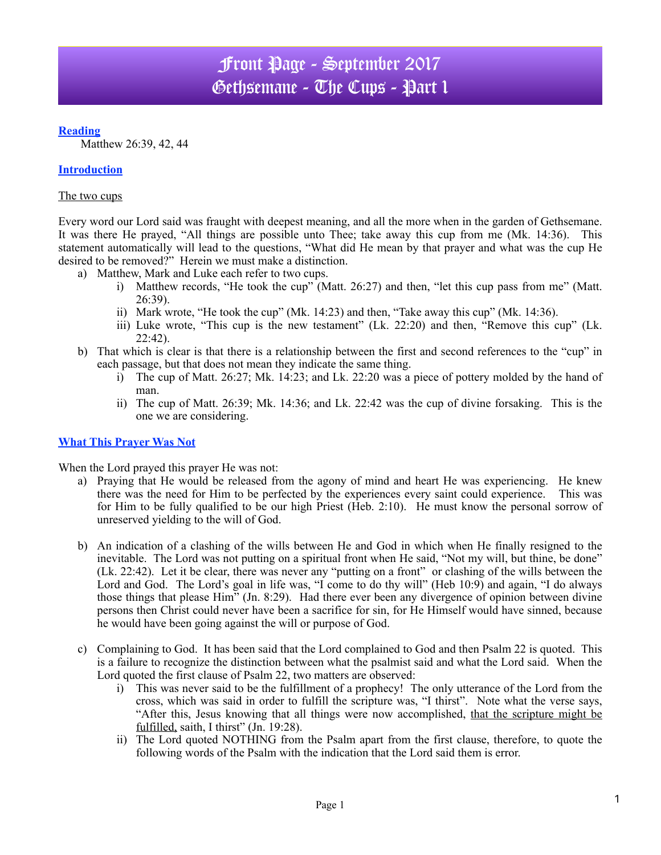# Front Page - September 2017 Gethsemane - The Cups - Part 1

### **Reading**

Matthew 26:39, 42, 44

## **Introduction**

#### The two cups

Every word our Lord said was fraught with deepest meaning, and all the more when in the garden of Gethsemane. It was there He prayed, "All things are possible unto Thee; take away this cup from me (Mk. 14:36). This statement automatically will lead to the questions, "What did He mean by that prayer and what was the cup He desired to be removed?" Herein we must make a distinction.

- a) Matthew, Mark and Luke each refer to two cups.
	- i) Matthew records, "He took the cup" (Matt. 26:27) and then, "let this cup pass from me" (Matt. 26:39).
	- ii) Mark wrote, "He took the cup" (Mk. 14:23) and then, "Take away this cup" (Mk. 14:36).
	- iii) Luke wrote, "This cup is the new testament" (Lk. 22:20) and then, "Remove this cup" (Lk.  $22:42$ ).
- b) That which is clear is that there is a relationship between the first and second references to the "cup" in each passage, but that does not mean they indicate the same thing.
	- i) The cup of Matt. 26:27; Mk. 14:23; and Lk. 22:20 was a piece of pottery molded by the hand of man.
	- ii) The cup of Matt. 26:39; Mk. 14:36; and Lk. 22:42 was the cup of divine forsaking. This is the one we are considering.

#### **What This Prayer Was Not**

When the Lord prayed this prayer He was not:

- a) Praying that He would be released from the agony of mind and heart He was experiencing. He knew there was the need for Him to be perfected by the experiences every saint could experience. This was for Him to be fully qualified to be our high Priest (Heb. 2:10). He must know the personal sorrow of unreserved yielding to the will of God.
- b) An indication of a clashing of the wills between He and God in which when He finally resigned to the inevitable. The Lord was not putting on a spiritual front when He said, "Not my will, but thine, be done" (Lk. 22:42). Let it be clear, there was never any "putting on a front" or clashing of the wills between the Lord and God. The Lord's goal in life was, "I come to do thy will" (Heb 10:9) and again, "I do always those things that please Him" (Jn. 8:29). Had there ever been any divergence of opinion between divine persons then Christ could never have been a sacrifice for sin, for He Himself would have sinned, because he would have been going against the will or purpose of God.
- c) Complaining to God. It has been said that the Lord complained to God and then Psalm 22 is quoted. This is a failure to recognize the distinction between what the psalmist said and what the Lord said. When the Lord quoted the first clause of Psalm 22, two matters are observed:
	- i) This was never said to be the fulfillment of a prophecy! The only utterance of the Lord from the cross, which was said in order to fulfill the scripture was, "I thirst". Note what the verse says, "After this, Jesus knowing that all things were now accomplished, that the scripture might be fulfilled, saith, I thirst" (Jn. 19:28).
	- ii) The Lord quoted NOTHING from the Psalm apart from the first clause, therefore, to quote the following words of the Psalm with the indication that the Lord said them is error.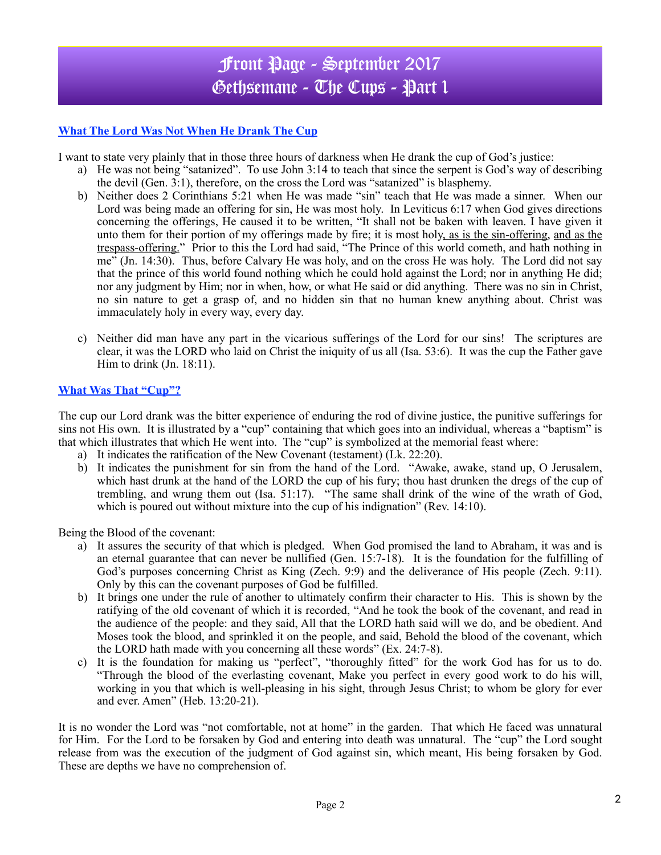# Front Page - September 2017 Gethsemane - The Cups - Part 1

## **What The Lord Was Not When He Drank The Cup**

I want to state very plainly that in those three hours of darkness when He drank the cup of God's justice:

- a) He was not being "satanized". To use John 3:14 to teach that since the serpent is God's way of describing the devil (Gen. 3:1), therefore, on the cross the Lord was "satanized" is blasphemy.
- b) Neither does 2 Corinthians 5:21 when He was made "sin" teach that He was made a sinner. When our Lord was being made an offering for sin, He was most holy. In Leviticus 6:17 when God gives directions concerning the offerings, He caused it to be written, "It shall not be baken with leaven. I have given it unto them for their portion of my offerings made by fire; it is most holy, as is the sin-offering, and as the trespass-offering." Prior to this the Lord had said, "The Prince of this world cometh, and hath nothing in me" (Jn. 14:30). Thus, before Calvary He was holy, and on the cross He was holy. The Lord did not say that the prince of this world found nothing which he could hold against the Lord; nor in anything He did; nor any judgment by Him; nor in when, how, or what He said or did anything. There was no sin in Christ, no sin nature to get a grasp of, and no hidden sin that no human knew anything about. Christ was immaculately holy in every way, every day.
- c) Neither did man have any part in the vicarious sufferings of the Lord for our sins! The scriptures are clear, it was the LORD who laid on Christ the iniquity of us all (Isa. 53:6). It was the cup the Father gave Him to drink (Jn. 18:11).

#### **What Was That "Cup"?**

The cup our Lord drank was the bitter experience of enduring the rod of divine justice, the punitive sufferings for sins not His own. It is illustrated by a "cup" containing that which goes into an individual, whereas a "baptism" is that which illustrates that which He went into. The "cup" is symbolized at the memorial feast where:

- a) It indicates the ratification of the New Covenant (testament) (Lk. 22:20).
- b) It indicates the punishment for sin from the hand of the Lord. "Awake, awake, stand up, O Jerusalem, which hast drunk at the hand of the LORD the cup of his fury; thou hast drunken the dregs of the cup of trembling, and wrung them out (Isa. 51:17). "The same shall drink of the wine of the wrath of God, which is poured out without mixture into the cup of his indignation" (Rev. 14:10).

Being the Blood of the covenant:

- a) It assures the security of that which is pledged. When God promised the land to Abraham, it was and is an eternal guarantee that can never be nullified (Gen. 15:7-18). It is the foundation for the fulfilling of God's purposes concerning Christ as King (Zech. 9:9) and the deliverance of His people (Zech. 9:11). Only by this can the covenant purposes of God be fulfilled.
- b) It brings one under the rule of another to ultimately confirm their character to His. This is shown by the ratifying of the old covenant of which it is recorded, "And he took the book of the covenant, and read in the audience of the people: and they said, All that the LORD hath said will we do, and be obedient. And Moses took the blood, and sprinkled it on the people, and said, Behold the blood of the covenant, which the LORD hath made with you concerning all these words" (Ex. 24:7-8).
- c) It is the foundation for making us "perfect", "thoroughly fitted" for the work God has for us to do. "Through the blood of the everlasting covenant, Make you perfect in every good work to do his will, working in you that which is well-pleasing in his sight, through Jesus Christ; to whom be glory for ever and ever. Amen" (Heb. 13:20-21).

It is no wonder the Lord was "not comfortable, not at home" in the garden. That which He faced was unnatural for Him. For the Lord to be forsaken by God and entering into death was unnatural. The "cup" the Lord sought release from was the execution of the judgment of God against sin, which meant, His being forsaken by God. These are depths we have no comprehension of.